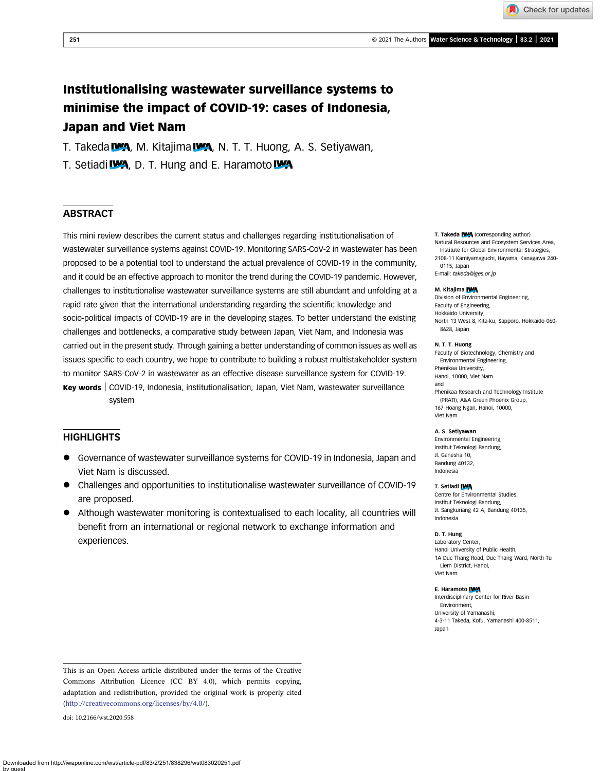Check for updates

# Institutionalising wastewater surveillance systems to minimise the impact of COVID-19: cases of Indonesia, Japan and Viet Nam

T. Takeda WA, M. Kitajima WA, N. T. T. Huong, A. S. Setiyawan,

T. Setiadi **WA**, D. T. Hung and E. Haramoto WA

# **ABSTRACT**

This mini review describes the current status and challenges regarding institutionalisation of wastewater surveillance systems against COVID-19. Monitoring SARS-CoV-2 in wastewater has been proposed to be a potential tool to understand the actual prevalence of COVID-19 in the community, and it could be an effective approach to monitor the trend during the COVID-19 pandemic. However, challenges to institutionalise wastewater surveillance systems are still abundant and unfolding at a rapid rate given that the international understanding regarding the scientific knowledge and socio-political impacts of COVID-19 are in the developing stages. To better understand the existing challenges and bottlenecks, a comparative study between Japan, Viet Nam, and Indonesia was carried out in the present study. Through gaining a better understanding of common issues as well as issues specific to each country, we hope to contribute to building a robust multistakeholder system to monitor SARS-CoV-2 in wastewater as an effective disease surveillance system for COVID-19. Key words | COVID-19, Indonesia, institutionalisation, Japan, Viet Nam, wastewater surveillance system

# **HIGHLIGHTS**

- Governance of wastewater surveillance systems for COVID-19 in Indonesia, Japan and Viet Nam is discussed.
- Challenges and opportunities to institutionalise wastewater surveillance of COVID-19 are proposed.
- Although wastewater monitoring is contextualised to each locality, all countries will benefit from an international or regional network to exchange information and experiences.

### T. Takeda IVA (corresponding author)

- Natural Resources and Ecosystem Services Area, Institute for Global Environmental Strategies,
- 2108-11 Kamiyamaguchi, Hayama, Kanagawa 240- 0115, Japan
- E-mail: [takeda@iges.or.jp](mailto:takeda@iges.or.jp)

#### M. Kitajima **IWA**

Division of Environmental Engineering, Faculty of Engineering, Hokkaido University, North 13 West 8, Kita-ku, Sapporo, Hokkaido 060- 8628, Japan

#### N. T. T. Huong

Faculty of Biotechnology, Chemistry and Environmental Engineering, Phenikaa University, Hanoi, 10000, Viet Nam and

Phenikaa Research and Technology Institute (PRATI), A&A Green Phoenix Group, 167 Hoang Ngan, Hanoi, 10000, Viet Nam

#### A. S. Setiyawan

Environmental Engineering, Institut Teknologi Bandung, Jl. Ganesha 10, Bandung 40132, Indonesia

### T. Setiadi IWA

Centre for Environmental Studies, Institut Teknologi Bandung, Jl. Sangkuriang 42 A, Bandung 40135, Indonesia

#### D. T. Hung

Laboratory Center, Hanoi University of Public Health, 1A Duc Thang Road, Duc Thang Ward, North Tu Liem District, Hanoi, Viet Nam

#### E. Haramoto IVA

Interdisciplinary Center for River Basin Environment, University of Yamanashi, 4-3-11 Takeda, Kofu, Yamanashi 400-8511, Japan

doi: 10.2166/wst.2020.558

This is an Open Access article distributed under the terms of the Creative Commons Attribution Licence (CC BY 4.0), which permits copying, adaptation and redistribution, provided the original work is properly cited [\(http://creativecommons.org/licenses/by/4.0/](http://creativecommons.org/licenses/by/4.0/)).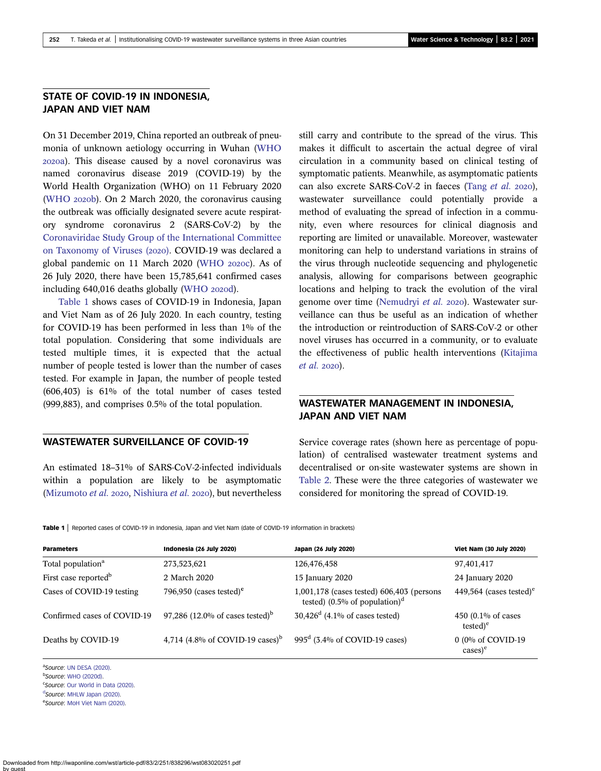# STATE OF COVID-19 IN INDONESIA, JAPAN AND VIET NAM

On 31 December 2019, China reported an outbreak of pneumonia of unknown aetiology occurring in Wuhan ([WHO](#page-5-0) a). This disease caused by a novel coronavirus was named coronavirus disease 2019 (COVID-19) by the World Health Organization (WHO) on 11 February 2020 ([WHO](#page-5-0) 2020b). On 2 March 2020, the coronavirus causing the outbreak was officially designated severe acute respiratory syndrome coronavirus 2 (SARS-CoV-2) by the [Coronaviridae Study Group of the International Committee](#page-5-0) [on Taxonomy of Viruses \(](#page-5-0)2020). COVID-19 was declared a global pandemic on 11 March 2020 [\(WHO](#page-5-0) 2020c). As of 26 July 2020, there have been 15,785,641 confirmed cases including  $640,016$  deaths globally [\(WHO](#page-5-0)  $2020d$ ).

Table 1 shows cases of COVID-19 in Indonesia, Japan and Viet Nam as of 26 July 2020. In each country, testing for COVID-19 has been performed in less than 1% of the total population. Considering that some individuals are tested multiple times, it is expected that the actual number of people tested is lower than the number of cases tested. For example in Japan, the number of people tested (606,403) is 61% of the total number of cases tested (999,883), and comprises 0.5% of the total population.

### WASTEWATER SURVEILLANCE OF COVID-19

An estimated 18–31% of SARS-CoV-2-infected individuals within a population are likely to be asymptomatic ([Mizumoto](#page-5-0) et al. 2020, [Nishiura](#page-5-0) et al. 2020), but nevertheless still carry and contribute to the spread of the virus. This makes it difficult to ascertain the actual degree of viral circulation in a community based on clinical testing of symptomatic patients. Meanwhile, as asymptomatic patients can also excrete SARS-CoV-2 in faeces (Tang [et al.](#page-5-0)  $2020$ ), wastewater surveillance could potentially provide a method of evaluating the spread of infection in a community, even where resources for clinical diagnosis and reporting are limited or unavailable. Moreover, wastewater monitoring can help to understand variations in strains of the virus through nucleotide sequencing and phylogenetic analysis, allowing for comparisons between geographic locations and helping to track the evolution of the viral genome over time ([Nemudryi](#page-5-0) et al. 2020). Wastewater surveillance can thus be useful as an indication of whether the introduction or reintroduction of SARS-CoV-2 or other novel viruses has occurred in a community, or to evaluate the effectiveness of public health interventions ([Kitajima](#page-5-0) [et al.](#page-5-0) 2020).

# WASTEWATER MANAGEMENT IN INDONESIA, JAPAN AND VIET NAM

Service coverage rates (shown here as percentage of population) of centralised wastewater treatment systems and decentralised or on-site wastewater systems are shown in [Table 2](#page-2-0). These were the three categories of wastewater we considered for monitoring the spread of COVID-19.

Table 1 | Reported cases of COVID-19 in Indonesia, Japan and Viet Nam (date of COVID-19 information in brackets)

| <b>Parameters</b>                | Indonesia (26 July 2020)                    | Japan (26 July 2020)                                                                   | <b>Viet Nam (30 July 2020)</b>                 |
|----------------------------------|---------------------------------------------|----------------------------------------------------------------------------------------|------------------------------------------------|
| Total population <sup>a</sup>    | 273,523,621                                 | 126,476,458                                                                            | 97,401,417                                     |
| First case reported <sup>b</sup> | 2 March 2020                                | 15 January 2020                                                                        | 24 January 2020                                |
| Cases of COVID-19 testing        | 796,950 (cases tested) <sup>c</sup>         | 1,001,178 (cases tested) 606,403 (persons<br>tested) (0.5% of population) <sup>d</sup> | 449,564 (cases tested) <sup>e</sup>            |
| Confirmed cases of COVID-19      | 97,286 (12.0% of cases tested) <sup>b</sup> | $30,426^d$ (4.1% of cases tested)                                                      | 450 $(0.1\% \text{ of cases})$<br>tested $)^e$ |
| Deaths by COVID-19               | 4,714 (4.8% of COVID-19 cases) <sup>b</sup> | $995^d$ (3.4% of COVID-19 cases)                                                       | 0 (0% of COVID-19<br>$\cases$ <sup>e</sup>     |

aSource: [UN DESA \(2020\)](#page-5-0).

<sup>[d](#page-5-0)</sup>Source: [MHLW Japan \(2020\)](#page-5-0).

eSource: [MoH Viet Nam \(2020\)](#page-5-0).

<sup>&</sup>lt;sup>b</sup>Source: [WHO \(2020d\).](#page-5-0)

<sup>&</sup>lt;sup>c</sup>Source: [Our World in Data \(2020\)](#page-5-0).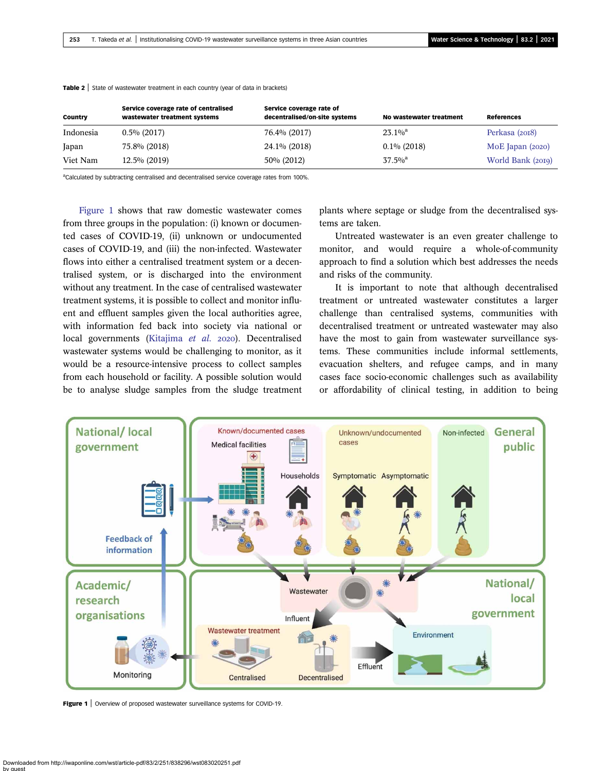| <b>Country</b> | Service coverage rate of centralised<br>wastewater treatment systems | Service coverage rate of<br>decentralised/on-site systems | No wastewater treatment | <b>References</b>  |
|----------------|----------------------------------------------------------------------|-----------------------------------------------------------|-------------------------|--------------------|
| Indonesia      | $0.5\%$ (2017)                                                       | 76.4% (2017)                                              | $23.1\%$ <sup>a</sup>   | Perkasa (2018)     |
| Japan          | 75.8% (2018)                                                         | 24.1% (2018)                                              | $0.1\%$ (2018)          | MoE Japan $(2020)$ |
| Viet Nam       | $12.5\%$ (2019)                                                      | 50% (2012)                                                | $37.5\%$ <sup>a</sup>   | World Bank (2019)  |

### <span id="page-2-0"></span>**Table 2** State of wastewater treatment in each country (year of data in brackets)

<sup>a</sup>Calculated by subtracting centralised and decentralised service coverage rates from 100%.

Figure 1 shows that raw domestic wastewater comes from three groups in the population: (i) known or documented cases of COVID-19, (ii) unknown or undocumented cases of COVID-19, and (iii) the non-infected. Wastewater flows into either a centralised treatment system or a decentralised system, or is discharged into the environment without any treatment. In the case of centralised wastewater treatment systems, it is possible to collect and monitor influent and effluent samples given the local authorities agree, with information fed back into society via national or local governments ([Kitajima](#page-5-0) et al. 2020). Decentralised wastewater systems would be challenging to monitor, as it would be a resource-intensive process to collect samples from each household or facility. A possible solution would be to analyse sludge samples from the sludge treatment

plants where septage or sludge from the decentralised systems are taken.

Untreated wastewater is an even greater challenge to monitor, and would require a whole-of-community approach to find a solution which best addresses the needs and risks of the community.

It is important to note that although decentralised treatment or untreated wastewater constitutes a larger challenge than centralised systems, communities with decentralised treatment or untreated wastewater may also have the most to gain from wastewater surveillance systems. These communities include informal settlements, evacuation shelters, and refugee camps, and in many cases face socio-economic challenges such as availability or affordability of clinical testing, in addition to being



Figure 1 | Overview of proposed wastewater surveillance systems for COVID-19.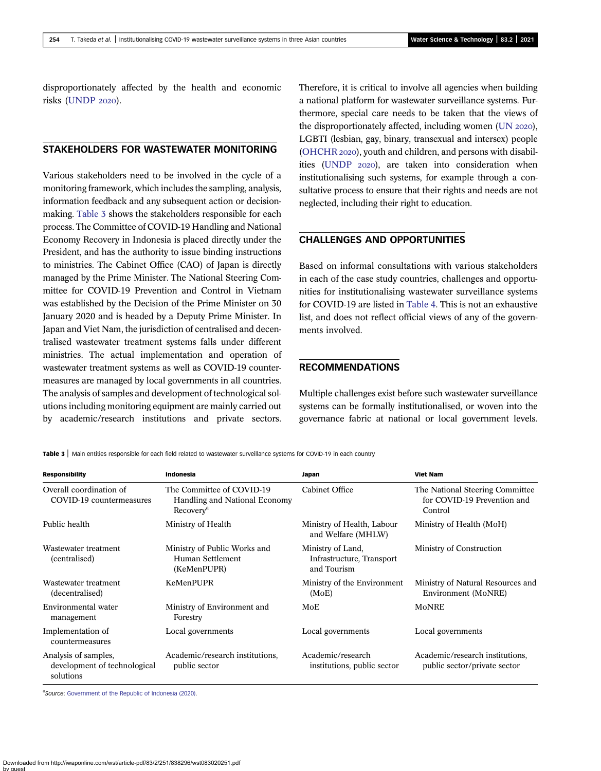disproportionately affected by the health and economic risks ([UNDP](#page-5-0) 2020).

# STAKEHOLDERS FOR WASTEWATER MONITORING

Various stakeholders need to be involved in the cycle of a monitoring framework, which includes the sampling, analysis, information feedback and any subsequent action or decisionmaking. Table 3 shows the stakeholders responsible for each process. The Committee of COVID-19 Handling and National Economy Recovery in Indonesia is placed directly under the President, and has the authority to issue binding instructions to ministries. The Cabinet Office (CAO) of Japan is directly managed by the Prime Minister. The National Steering Committee for COVID-19 Prevention and Control in Vietnam was established by the Decision of the Prime Minister on 30 January 2020 and is headed by a Deputy Prime Minister. In Japan and Viet Nam, the jurisdiction of centralised and decentralised wastewater treatment systems falls under different ministries. The actual implementation and operation of wastewater treatment systems as well as COVID-19 countermeasures are managed by local governments in all countries. The analysis of samples and development of technological solutions including monitoring equipment are mainly carried out by academic/research institutions and private sectors.

Therefore, it is critical to involve all agencies when building a national platform for wastewater surveillance systems. Furthermore, special care needs to be taken that the views of the disproportionately affected, including women  $(UN 2020)$ , LGBTI (lesbian, gay, binary, transexual and intersex) people [\(OHCHR](#page-5-0) 2020), youth and children, and persons with disabil-ities [\(UNDP](#page-5-0) 2020), are taken into consideration when institutionalising such systems, for example through a consultative process to ensure that their rights and needs are not neglected, including their right to education.

# CHALLENGES AND OPPORTUNITIES

Based on informal consultations with various stakeholders in each of the case study countries, challenges and opportunities for institutionalising wastewater surveillance systems for COVID-19 are listed in [Table 4.](#page-4-0) This is not an exhaustive list, and does not reflect official views of any of the governments involved.

### RECOMMENDATIONS

Multiple challenges exist before such wastewater surveillance systems can be formally institutionalised, or woven into the governance fabric at national or local government levels.

Table 3 | Main entities responsible for each field related to wastewater surveillance systems for COVID-19 in each country

| <b>Responsibility</b>                                             | Indonesia                                                                           | Japan                                                         | <b>Viet Nam</b>                                                           |
|-------------------------------------------------------------------|-------------------------------------------------------------------------------------|---------------------------------------------------------------|---------------------------------------------------------------------------|
| Overall coordination of<br>COVID-19 countermeasures               | The Committee of COVID-19<br>Handling and National Economy<br>Recovery <sup>a</sup> | Cabinet Office                                                | The National Steering Committee<br>for COVID-19 Prevention and<br>Control |
| Public health                                                     | Ministry of Health                                                                  | Ministry of Health, Labour<br>and Welfare (MHLW)              | Ministry of Health (MoH)                                                  |
| Wastewater treatment<br>(centralised)                             | Ministry of Public Works and<br>Human Settlement<br>(KeMenPUPR)                     | Ministry of Land,<br>Infrastructure, Transport<br>and Tourism | Ministry of Construction                                                  |
| Wastewater treatment<br>(decentralised)                           | KeMenPUPR                                                                           | Ministry of the Environment<br>(MoE)                          | Ministry of Natural Resources and<br>Environment (MoNRE)                  |
| Environmental water<br>management                                 | Ministry of Environment and<br>Forestry                                             | MoE                                                           | MoNRE                                                                     |
| Implementation of<br>countermeasures                              | Local governments                                                                   | Local governments                                             | Local governments                                                         |
| Analysis of samples,<br>development of technological<br>solutions | Academic/research institutions,<br>public sector                                    | Academic/research<br>institutions, public sector              | Academic/research institutions.<br>public sector/private sector           |

aSource: [Government of the Republic of Indonesia \(2020\)](#page-5-0).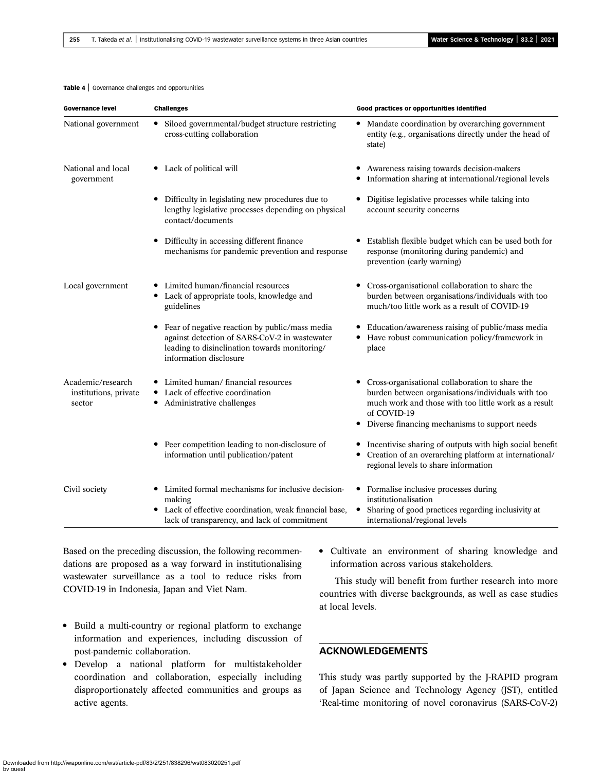### <span id="page-4-0"></span>Table 4 | Governance challenges and opportunities

| <b>Governance level</b>                              | <b>Challenges</b>                                                                                                                                                          | Good practices or opportunities identified                                                                                                                                                                                        |
|------------------------------------------------------|----------------------------------------------------------------------------------------------------------------------------------------------------------------------------|-----------------------------------------------------------------------------------------------------------------------------------------------------------------------------------------------------------------------------------|
| National government                                  | • Siloed governmental/budget structure restricting<br>cross-cutting collaboration                                                                                          | • Mandate coordination by overarching government<br>entity (e.g., organisations directly under the head of<br>state)                                                                                                              |
| National and local<br>government                     | • Lack of political will                                                                                                                                                   | Awareness raising towards decision-makers<br>Information sharing at international/regional levels                                                                                                                                 |
|                                                      | Difficulty in legislating new procedures due to<br>lengthy legislative processes depending on physical<br>contact/documents                                                | Digitise legislative processes while taking into<br>٠<br>account security concerns                                                                                                                                                |
|                                                      | Difficulty in accessing different finance<br>mechanisms for pandemic prevention and response                                                                               | Establish flexible budget which can be used both for<br>response (monitoring during pandemic) and<br>prevention (early warning)                                                                                                   |
| Local government                                     | Limited human/financial resources<br>• Lack of appropriate tools, knowledge and<br>guidelines                                                                              | Cross-organisational collaboration to share the<br>burden between organisations/individuals with too<br>much/too little work as a result of COVID-19                                                                              |
|                                                      | Fear of negative reaction by public/mass media<br>against detection of SARS-CoV-2 in wastewater<br>leading to disinclination towards monitoring/<br>information disclosure | Education/awareness raising of public/mass media<br>Have robust communication policy/framework in<br>٠<br>place                                                                                                                   |
| Academic/research<br>institutions, private<br>sector | • Limited human/ financial resources<br>Lack of effective coordination<br>Administrative challenges<br>٠                                                                   | Cross-organisational collaboration to share the<br>burden between organisations/individuals with too<br>much work and those with too little work as a result<br>of COVID-19<br>Diverse financing mechanisms to support needs<br>٠ |
|                                                      | Peer competition leading to non-disclosure of<br>information until publication/patent                                                                                      | • Incentivise sharing of outputs with high social benefit<br>Creation of an overarching platform at international/<br>regional levels to share information                                                                        |
| Civil society                                        | • Limited formal mechanisms for inclusive decision-<br>making<br>Lack of effective coordination, weak financial base,<br>lack of transparency, and lack of commitment      | Formalise inclusive processes during<br>٠<br>institutionalisation<br>Sharing of good practices regarding inclusivity at<br>international/regional levels                                                                          |

Based on the preceding discussion, the following recommendations are proposed as a way forward in institutionalising wastewater surveillance as a tool to reduce risks from COVID-19 in Indonesia, Japan and Viet Nam.

- Build a multi-country or regional platform to exchange information and experiences, including discussion of post-pandemic collaboration.
- Develop a national platform for multistakeholder coordination and collaboration, especially including disproportionately affected communities and groups as active agents.

• Cultivate an environment of sharing knowledge and information across various stakeholders.

This study will benefit from further research into more countries with diverse backgrounds, as well as case studies at local levels.

# ACKNOWLEDGEMENTS

This study was partly supported by the J-RAPID program of Japan Science and Technology Agency (JST), entitled 'Real-time monitoring of novel coronavirus (SARS-CoV-2)